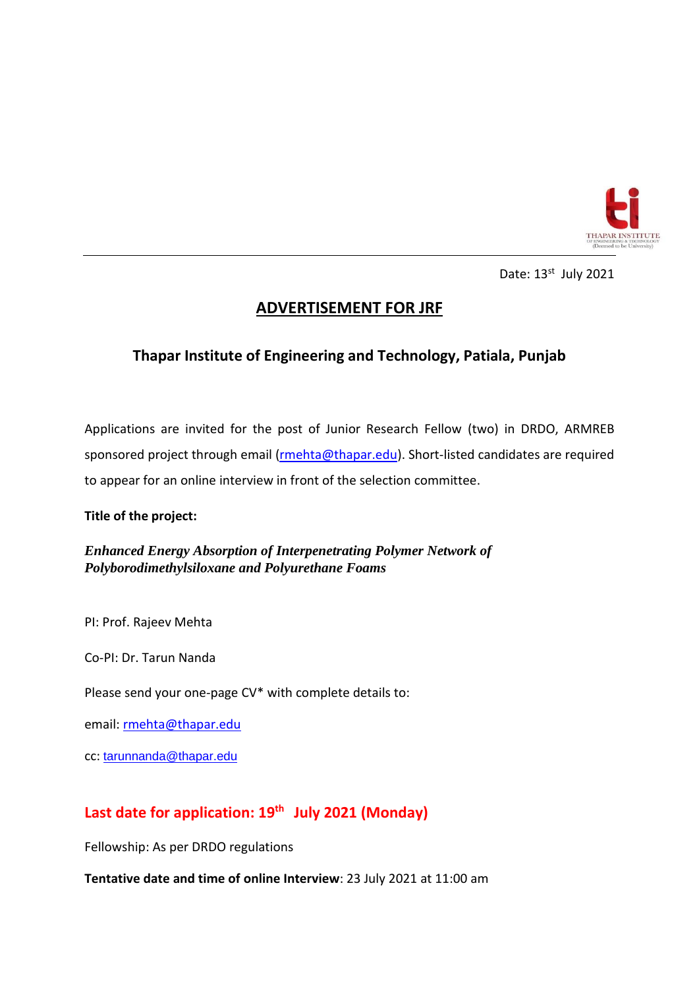

Date: 13<sup>st</sup> July 2021

# **ADVERTISEMENT FOR JRF**

## **Thapar Institute of Engineering and Technology, Patiala, Punjab**

Applications are invited for the post of Junior Research Fellow (two) in DRDO, ARMREB sponsored project through email [\(rmehta@thapar.edu\)](mailto:rmehta@thapar.edu). Short-listed candidates are required to appear for an online interview in front of the selection committee.

### **Title of the project:**

*Enhanced Energy Absorption of Interpenetrating Polymer Network of Polyborodimethylsiloxane and Polyurethane Foams*

PI: Prof. Rajeev Mehta

Co-PI: Dr. Tarun Nanda

Please send your one-page CV\* with complete details to:

email[: rmehta@thapar.edu](mailto:rmehta@thapar.edu)

cc: [tarunnanda@thapar.edu](mailto:tarunnanda@thapar.edu)

## **Last date for application: 19th July 2021 (Monday)**

Fellowship: As per DRDO regulations

**Tentative date and time of online Interview**: 23 July 2021 at 11:00 am